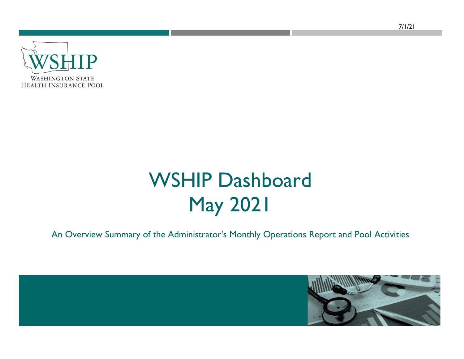

# WSHIP Dashboard May 2021

An Overview Summary of the Administrator's Monthly Operations Report and Pool Activities

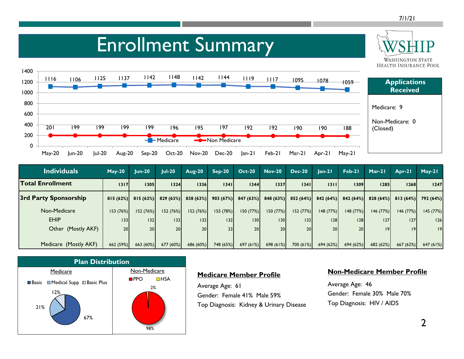**WASHINGTON STATE** 

### Enrollment Summary



| <b>Individuals</b>      | $May-20$        | <b>Jun-20</b>   | $Iul-20$        | <b>Aug-20</b> | $Sep-20$             | <b>Oct-20</b>    | <b>Nov-20</b> | $Dec-20$             | $lan-21$        | Feb-21          | $Mar-21$    | $Arr-21$    | $May-21$  |
|-------------------------|-----------------|-----------------|-----------------|---------------|----------------------|------------------|---------------|----------------------|-----------------|-----------------|-------------|-------------|-----------|
| <b>Total Enrollment</b> | 1317            | 1305            | 1324            | 1336          | 1341                 | 1344             | 1337          | 1341                 | 1311            | 1309            | <b>1285</b> | <b>1268</b> | 1247      |
| 3rd Party Sponsorship   | 815(62%)        | 815(62%)        | 829(63%)        |               | $838(63%)$ 903 (67%) | 847(63%)         |               | $848(63%)$ 852 (64%) | 842(64%)        | 842(64%)        | 828(64%)    | 813(64%)    | 792 (64%) |
| Non-Medicare            | 153(76%)        | 152(76%)        | 152 (76%)       | 152(76%)      | 155 (78%)            | 150(77%)         | 150(77%)      | 152 (77%)            | 148(77%)        | 148(77%)        | 146(77%)    | 146(77%)    | 145 (77%) |
| <b>EHIP</b>             | 33              | 132             | 132             | 32            | 132                  | 130 <sup>1</sup> | 130           | 32                   | 128             | 28              | 27          | 127         | 126       |
| Other (Mostly AKF)      | 20 <sub>1</sub> | 20 <sup>1</sup> | 20 <sub>1</sub> | 20            | 23                   | 20 <sub>1</sub>  | 20            | 20                   | 20 <sup>1</sup> | 20 <sup>1</sup> | 19          | 9           | 9         |
|                         |                 |                 |                 |               |                      |                  |               |                      |                 |                 |             |             |           |
| Medicare (Mostly AKF)   | 662 (59%)       | 663 (60%)       | 677 (60%)       | 686 (60%)     | 748 (65%)            | 697(61%)         | 698(61%)      | 700 (61%)            | 694(62%)        | 694(62%)        | 682(62%)    | 667 (62%)   | 647 (61%) |



#### **Medicare Member Profile**

Average Age: 61 Gender: Female 41% Male 59% Top Diagnosis: Kidney & Urinary Disease

#### **Non-Medicare Member Profile**

Average Age: 46 Gender: Female 30% Male 70% Top Diagnosis: HIV / AIDS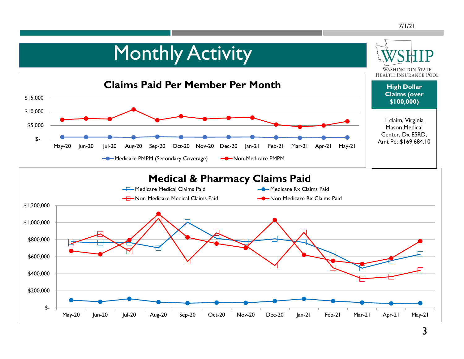#### 7/1/21

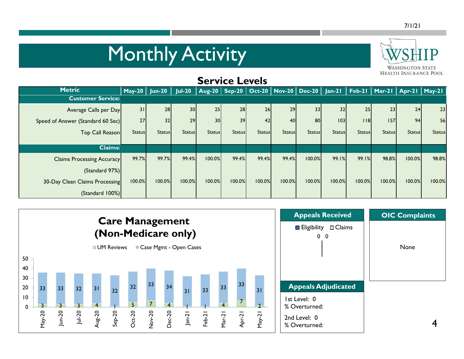# **Monthly Activity**



| <b>SELAICE LEASIS</b>             |               |                       |                 |                 |               |               |                 |                                                              |               |                 |               |                                   |               |
|-----------------------------------|---------------|-----------------------|-----------------|-----------------|---------------|---------------|-----------------|--------------------------------------------------------------|---------------|-----------------|---------------|-----------------------------------|---------------|
| <b>Metric</b>                     |               | May-20 Jun-20 $\vert$ |                 |                 |               |               |                 | Jul-20   Aug-20   Sep-20   Oct-20   Nov-20   Dec-20   Jan-21 |               |                 |               | Feb-21   Mar-21   Apr-21   May-21 |               |
| <b>Customer Service:</b>          |               |                       |                 |                 |               |               |                 |                                                              |               |                 |               |                                   |               |
| Average Calls per Day             | 31            | 28                    | 30 <sup>1</sup> | 25              | 28            | 26            | 29              | 33                                                           | 32            | 25 <sub>1</sub> | 23            | 24                                | 23            |
| Speed of Answer (Standard 60 Sec) | 27            | 32                    | 29              | 30 <sup>1</sup> | 39            | 42            | 40 <sub>l</sub> | 80                                                           | 103           | 18              | 157           | 94                                | 56            |
| Top Call Reason                   | <b>Status</b> | <b>Status</b>         | <b>Status</b>   | <b>Status</b>   | <b>Status</b> | <b>Status</b> | <b>Status</b>   | <b>Status</b>                                                | <b>Status</b> | <b>Status</b>   | <b>Status</b> | <b>Status</b>                     | <b>Status</b> |
|                                   |               |                       |                 |                 |               |               |                 |                                                              |               |                 |               |                                   |               |
| <b>Claims:</b>                    |               |                       |                 |                 |               |               |                 |                                                              |               |                 |               |                                   |               |
| <b>Claims Processing Accuracy</b> | 99.7%         | 99.7%                 | 99.4%           | 100.0%          | 99.4%         | 99.4%         | 99.4%           | 100.0%                                                       | 99.1%         | 99.1%           | 98.8%         | 100.0%                            | 98.8%         |
| (Standard 97%)                    |               |                       |                 |                 |               |               |                 |                                                              |               |                 |               |                                   |               |
| 30-Day Clean Claims Processing    | 100.0%        | 100.0%                | 100.0%          | 100.0%          | 100.0%        | 100.0%        | 100.0%          | 100.0%                                                       | 100.0%        | 100.0%          | 100.0%        | 100.0%                            | 100.0%        |
| (Standard 100%)                   |               |                       |                 |                 |               |               |                 |                                                              |               |                 |               |                                   |               |

**Service Levels**